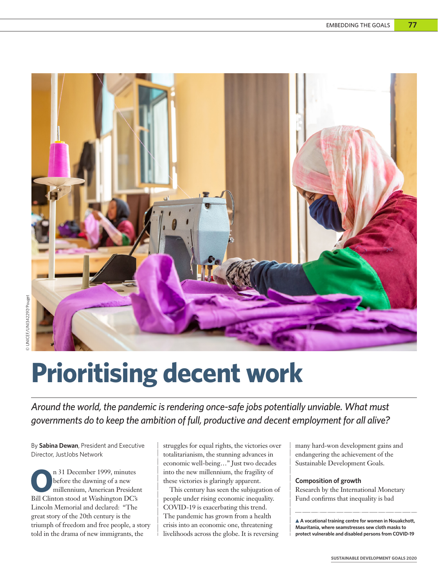

# **Prioritising decent work**

*Around the world, the pandemic is rendering once-safe jobs potentially unviable. What must governments do to keep the ambition of full, productive and decent employment for all alive?*

By **Sabina Dewan**, President and Executive Director, JustJobs Network

**O**n 31 December 1999, minutes before the dawning of a new millennium, American President Bill Clinton stood at Washington DC's Lincoln Memorial and declared: "The great story of the 20th century is the triumph of freedom and free people, a story told in the drama of new immigrants, the

struggles for equal rights, the victories over totalitarianism, the stunning advances in economic well-being…" Just two decades into the new millennium, the fragility of these victories is glaringly apparent.

This century has seen the subjugation of people under rising economic inequality. COVID-19 is exacerbating this trend. The pandemic has grown from a health crisis into an economic one, threatening livelihoods across the globe. It is reversing

many hard-won development gains and endangering the achievement of the Sustainable Development Goals.

## **Composition of growth**

Research by the International Monetary Fund confirms that inequality is bad

**A vocational training centre for women in Nouakchott, Mauritania, where seamstresses sew cloth masks to protect vulnerable and disabled persons from COVID-19**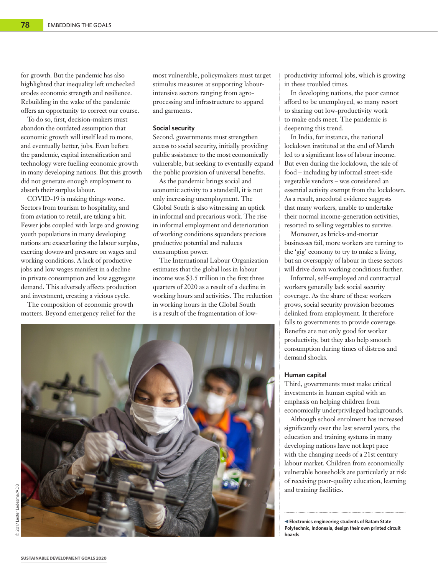for growth. But the pandemic has also highlighted that inequality left unchecked erodes economic strength and resilience. Rebuilding in the wake of the pandemic offers an opportunity to correct our course.

To do so, first, decision-makers must abandon the outdated assumption that economic growth will itself lead to more, and eventually better, jobs. Even before the pandemic, capital intensification and technology were fuelling economic growth in many developing nations. But this growth did not generate enough employment to absorb their surplus labour.

COVID-19 is making things worse. Sectors from tourism to hospitality, and from aviation to retail, are taking a hit. Fewer jobs coupled with large and growing youth populations in many developing nations are exacerbating the labour surplus, exerting downward pressure on wages and working conditions. A lack of productive jobs and low wages manifest in a decline in private consumption and low aggregate demand. This adversely affects production and investment, creating a vicious cycle.

The composition of economic growth matters. Beyond emergency relief for the most vulnerable, policymakers must target stimulus measures at supporting labourintensive sectors ranging from agroprocessing and infrastructure to apparel and garments.

### **Social security**

Second, governments must strengthen access to social security, initially providing public assistance to the most economically vulnerable, but seeking to eventually expand the public provision of universal benefits.

As the pandemic brings social and economic activity to a standstill, it is not only increasing unemployment. The Global South is also witnessing an uptick in informal and precarious work. The rise in informal employment and deterioration of working conditions squanders precious productive potential and reduces consumption power.

The International Labour Organization estimates that the global loss in labour income was \$3.5 trillion in the first three quarters of 2020 as a result of a decline in working hours and activities. The reduction in working hours in the Global South is a result of the fragmentation of low-



productivity informal jobs, which is growing in these troubled times.

In developing nations, the poor cannot afford to be unemployed, so many resort to sharing out low-productivity work to make ends meet. The pandemic is deepening this trend.

In India, for instance, the national lockdown instituted at the end of March led to a significant loss of labour income. But even during the lockdown, the sale of food – including by informal street-side vegetable vendors – was considered an essential activity exempt from the lockdown. As a result, anecdotal evidence suggests that many workers, unable to undertake their normal income-generation activities, resorted to selling vegetables to survive.

Moreover, as bricks-and-mortar businesses fail, more workers are turning to the 'gig' economy to try to make a living, but an oversupply of labour in these sectors will drive down working conditions further.

Informal, self-employed and contractual workers generally lack social security coverage. As the share of these workers grows, social security provision becomes delinked from employment. It therefore falls to governments to provide coverage. Benefits are not only good for worker productivity, but they also help smooth consumption during times of distress and demand shocks.

## **Human capital**

Third, governments must make critical investments in human capital with an emphasis on helping children from economically underprivileged backgrounds.

Although school enrolment has increased significantly over the last several years, the education and training systems in many developing nations have not kept pace with the changing needs of a 21st century labour market. Children from economically vulnerable households are particularly at risk of receiving poor-quality education, learning and training facilities.

**Electronics engineering students of Batam State Polytechnic, Indonesia, design their own printed circuit boards**